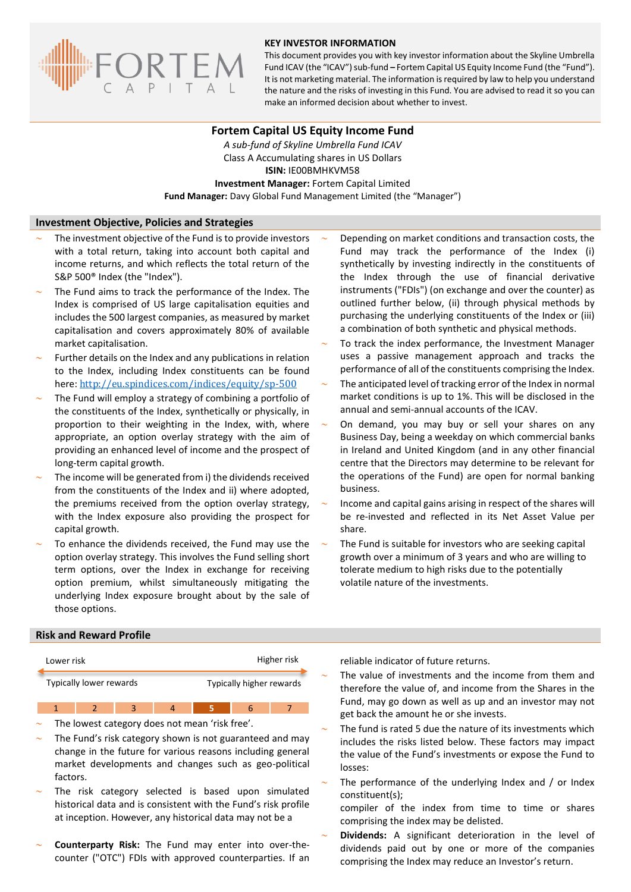

#### **KEY INVESTOR INFORMATION**

This document provides you with key investor information about the Skyline Umbrella Fund ICAV (the "ICAV") sub-fund **–** Fortem Capital US Equity Income Fund (the "Fund"). It is not marketing material. The information is required by law to help you understand the nature and the risks of investing in this Fund. You are advised to read it so you can make an informed decision about whether to invest.

### **Fortem Capital US Equity Income Fund**

*A sub-fund of Skyline Umbrella Fund ICAV* Class A Accumulating shares in US Dollars **ISIN:** IE00BMHKVM58 **Investment Manager:** Fortem Capital Limited **Fund Manager:** Davy Global Fund Management Limited (the "Manager")

#### **Investment Objective, Policies and Strategies**

- The investment objective of the Fund is to provide investors with a total return, taking into account both capital and income returns, and which reflects the total return of the S&P 500® Index (the "Index").
- The Fund aims to track the performance of the Index. The Index is comprised of US large capitalisation equities and includes the 500 largest companies, as measured by market capitalisation and covers approximately 80% of available market capitalisation.
- Further details on the Index and any publications in relation to the Index, including Index constituents can be found here: <http://eu.spindices.com/indices/equity/sp-500>
- The Fund will employ a strategy of combining a portfolio of the constituents of the Index, synthetically or physically, in proportion to their weighting in the Index, with, where appropriate, an option overlay strategy with the aim of providing an enhanced level of income and the prospect of long-term capital growth.
- The income will be generated from i) the dividends received from the constituents of the Index and ii) where adopted, the premiums received from the option overlay strategy, with the Index exposure also providing the prospect for capital growth.
- To enhance the dividends received, the Fund may use the option overlay strategy. This involves the Fund selling short term options, over the Index in exchange for receiving option premium, whilst simultaneously mitigating the underlying Index exposure brought about by the sale of those options.
- Depending on market conditions and transaction costs, the Fund may track the performance of the Index (i) synthetically by investing indirectly in the constituents of the Index through the use of financial derivative instruments ("FDIs") (on exchange and over the counter) as outlined further below, (ii) through physical methods by purchasing the underlying constituents of the Index or (iii) a combination of both synthetic and physical methods.
- To track the index performance, the Investment Manager uses a passive management approach and tracks the performance of all of the constituents comprising the Index.
- The anticipated level of tracking error of the Index in normal market conditions is up to 1%. This will be disclosed in the annual and semi-annual accounts of the ICAV.
- On demand, you may buy or sell your shares on any Business Day, being a weekday on which commercial banks in Ireland and United Kingdom (and in any other financial centre that the Directors may determine to be relevant for the operations of the Fund) are open for normal banking business.
- Income and capital gains arising in respect of the shares will be re-invested and reflected in its Net Asset Value per share.
- The Fund is suitable for investors who are seeking capital growth over a minimum of 3 years and who are willing to tolerate medium to high risks due to the potentially volatile nature of the investments.

## **Risk and Reward Profile**

| Lower risk                                          |  |             |                                                |                | Higher risk |   |  |  | reliable indicator of f                     |
|-----------------------------------------------------|--|-------------|------------------------------------------------|----------------|-------------|---|--|--|---------------------------------------------|
| Typically lower rewards<br>Typically higher rewards |  |             |                                                |                |             |   |  |  | The value of investn<br>therefore the value |
|                                                     |  | $2^{\circ}$ | 3 <sup>2</sup>                                 | $\overline{4}$ | 5.          | 6 |  |  | Fund, may go down<br>get back the amount    |
|                                                     |  |             | The lowest category does not mean 'risk free'. |                |             |   |  |  | Tho fund is rotad <b>E</b> d                |

- The Fund's risk category shown is not guaranteed and may change in the future for various reasons including general market developments and changes such as geo-political factors. losses:
- The risk category selected is based upon simulated historical data and is consistent with the Fund's risk profile at inception. However, any historical data may not be a
- **Counterparty Risk:** The Fund may enter into over-thecounter ("OTC") FDIs with approved counterparties. If an

future returns.

- nents and the income from them and of, and income from the Shares in the as well as up and an investor may not he or she invests.
- The fund is rated 5 due the nature of its investments which includes the risks listed below. These factors may impact the value of the Fund's investments or expose the Fund to
- The performance of the underlying Index and / or Index constituent(s);

compiler of the index from time to time or shares comprising the index may be delisted.

 **Dividends:** A significant deterioration in the level of dividends paid out by one or more of the companies comprising the Index may reduce an Investor's return.